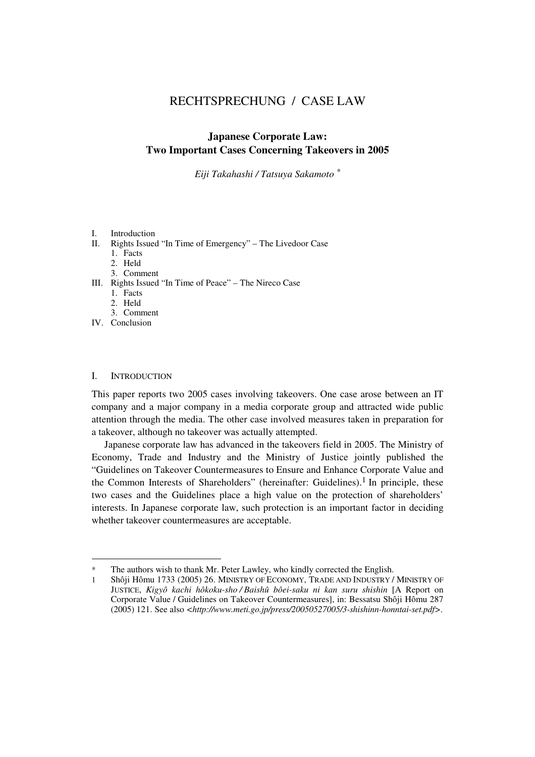# RECHTSPRECHUNG / CASE LAW

## **Japanese Corporate Law: Two Important Cases Concerning Takeovers in 2005**

*Eiji Takahashi / Tatsuya Sakamoto \**

## I. Introduction

- II. Rights Issued "In Time of Emergency" The Livedoor Case
	- 1. Facts
	- 2. Held
	- 3. Comment
- III. Rights Issued "In Time of Peace" The Nireco Case
	- 1. Facts
	- 2. Held
- 3. Comment
- IV. Conclusion

### I. INTRODUCTION

l

This paper reports two 2005 cases involving takeovers. One case arose between an IT company and a major company in a media corporate group and attracted wide public attention through the media. The other case involved measures taken in preparation for a takeover, although no takeover was actually attempted.

Japanese corporate law has advanced in the takeovers field in 2005. The Ministry of Economy, Trade and Industry and the Ministry of Justice jointly published the "Guidelines on Takeover Countermeasures to Ensure and Enhance Corporate Value and the Common Interests of Shareholders" (hereinafter: Guidelines).<sup>1</sup> In principle, these two cases and the Guidelines place a high value on the protection of shareholders' interests. In Japanese corporate law, such protection is an important factor in deciding whether takeover countermeasures are acceptable.

The authors wish to thank Mr. Peter Lawley, who kindly corrected the English.

<sup>1</sup> Shôji Hômu 1733 (2005) 26. MINISTRY OF ECONOMY, TRADE AND INDUSTRY / MINISTRY OF JUSTICE, *Kigyô kachi hôkoku-sho / Baishû bôei-saku ni kan suru shishin* [A Report on Corporate Value / Guidelines on Takeover Countermeasures], in: Bessatsu Shôji Hômu 287 (2005) 121. See also *<http://www.meti.go.jp/press/20050527005/3-shishinn-honntai-set.pdf>*.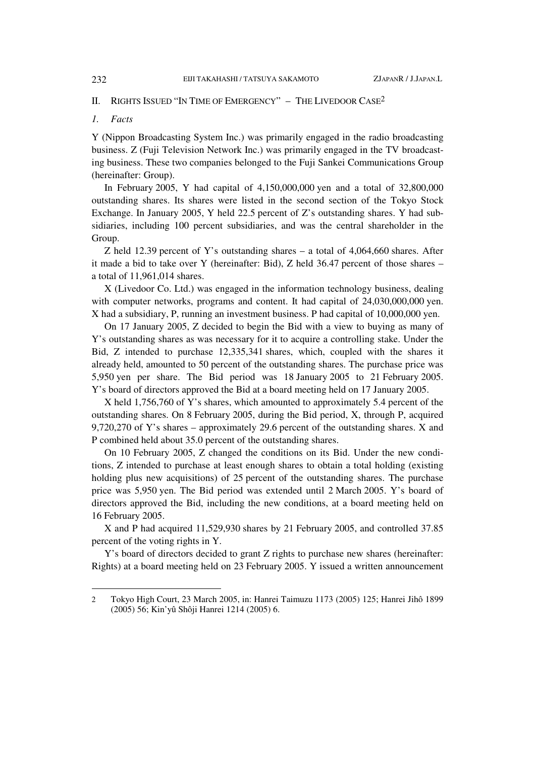## II. RIGHTS ISSUED "IN TIME OF EMERGENCY" - THE LIVEDOOR CASE<sup>2</sup>

## *1. Facts*

Y (Nippon Broadcasting System Inc.) was primarily engaged in the radio broadcasting business. Z (Fuji Television Network Inc.) was primarily engaged in the TV broadcasting business. These two companies belonged to the Fuji Sankei Communications Group (hereinafter: Group).

In February 2005, Y had capital of 4,150,000,000 yen and a total of 32,800,000 outstanding shares. Its shares were listed in the second section of the Tokyo Stock Exchange. In January 2005, Y held 22.5 percent of Z's outstanding shares. Y had subsidiaries, including 100 percent subsidiaries, and was the central shareholder in the Group.

Z held 12.39 percent of Y's outstanding shares – a total of 4,064,660 shares. After it made a bid to take over Y (hereinafter: Bid), Z held 36.47 percent of those shares – a total of 11,961,014 shares.

X (Livedoor Co. Ltd.) was engaged in the information technology business, dealing with computer networks, programs and content. It had capital of  $24,030,000,000$  yen. X had a subsidiary, P, running an investment business. P had capital of 10,000,000 yen.

On 17 January 2005, Z decided to begin the Bid with a view to buying as many of Y's outstanding shares as was necessary for it to acquire a controlling stake. Under the Bid, Z intended to purchase 12,335,341 shares, which, coupled with the shares it already held, amounted to 50 percent of the outstanding shares. The purchase price was 5,950 yen per share. The Bid period was 18 January 2005 to 21 February 2005. Y's board of directors approved the Bid at a board meeting held on 17 January 2005.

X held 1,756,760 of Y's shares, which amounted to approximately 5.4 percent of the outstanding shares. On 8 February 2005, during the Bid period, X, through P, acquired 9,720,270 of Y's shares – approximately 29.6 percent of the outstanding shares. X and P combined held about 35.0 percent of the outstanding shares.

On 10 February 2005, Z changed the conditions on its Bid. Under the new conditions, Z intended to purchase at least enough shares to obtain a total holding (existing holding plus new acquisitions) of 25 percent of the outstanding shares. The purchase price was 5,950 yen. The Bid period was extended until 2 March 2005. Y's board of directors approved the Bid, including the new conditions, at a board meeting held on 16 February 2005.

X and P had acquired 11,529,930 shares by 21 February 2005, and controlled 37.85 percent of the voting rights in Y.

Y's board of directors decided to grant Z rights to purchase new shares (hereinafter: Rights) at a board meeting held on 23 February 2005. Y issued a written announcement

 $\overline{a}$ 

<sup>2</sup> Tokyo High Court, 23 March 2005, in: Hanrei Taimuzu 1173 (2005) 125; Hanrei Jihô 1899 (2005) 56; Kin'yû Shôji Hanrei 1214 (2005) 6.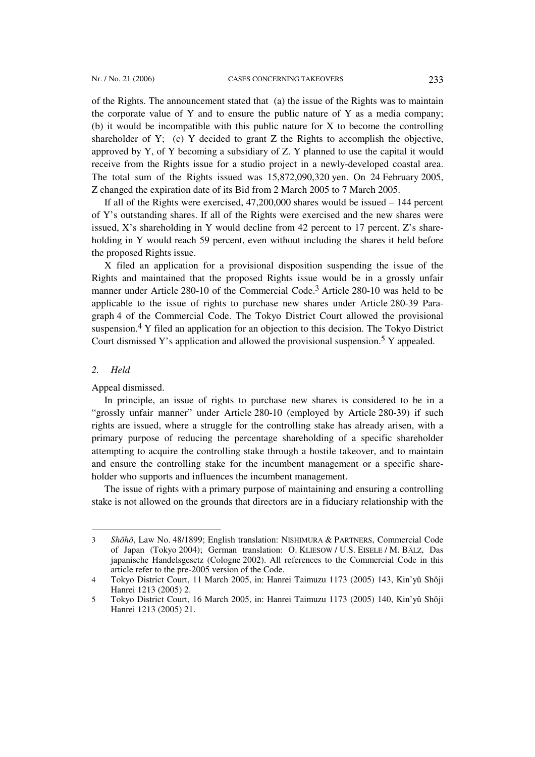of the Rights. The announcement stated that (a) the issue of the Rights was to maintain the corporate value of Y and to ensure the public nature of Y as a media company; (b) it would be incompatible with this public nature for X to become the controlling shareholder of Y; (c) Y decided to grant Z the Rights to accomplish the objective, approved by Y, of Y becoming a subsidiary of Z. Y planned to use the capital it would receive from the Rights issue for a studio project in a newly-developed coastal area. The total sum of the Rights issued was 15,872,090,320 yen. On 24 February 2005, Z changed the expiration date of its Bid from 2 March 2005 to 7 March 2005.

If all of the Rights were exercised, 47,200,000 shares would be issued – 144 percent of Y's outstanding shares. If all of the Rights were exercised and the new shares were issued, X's shareholding in Y would decline from 42 percent to 17 percent. Z's shareholding in Y would reach 59 percent, even without including the shares it held before the proposed Rights issue.

X filed an application for a provisional disposition suspending the issue of the Rights and maintained that the proposed Rights issue would be in a grossly unfair manner under Article 280-10 of the Commercial Code.3 Article 280-10 was held to be applicable to the issue of rights to purchase new shares under Article 280-39 Paragraph 4 of the Commercial Code. The Tokyo District Court allowed the provisional suspension.4 Y filed an application for an objection to this decision. The Tokyo District Court dismissed Y's application and allowed the provisional suspension.5 Y appealed.

## *2. Held*

l

Appeal dismissed.

In principle, an issue of rights to purchase new shares is considered to be in a "grossly unfair manner" under Article 280-10 (employed by Article 280-39) if such rights are issued, where a struggle for the controlling stake has already arisen, with a primary purpose of reducing the percentage shareholding of a specific shareholder attempting to acquire the controlling stake through a hostile takeover, and to maintain and ensure the controlling stake for the incumbent management or a specific shareholder who supports and influences the incumbent management.

The issue of rights with a primary purpose of maintaining and ensuring a controlling stake is not allowed on the grounds that directors are in a fiduciary relationship with the

<sup>3</sup> *Shôhô*, Law No. 48/1899; English translation: NISHIMURA & PARTNERS, Commercial Code of Japan (Tokyo 2004); German translation: O. KLIESOW / U.S. EISELE / M. BÄLZ, Das japanische Handelsgesetz (Cologne 2002). All references to the Commercial Code in this article refer to the pre-2005 version of the Code.

<sup>4</sup> Tokyo District Court, 11 March 2005, in: Hanrei Taimuzu 1173 (2005) 143, Kin'yû Shôji Hanrei 1213 (2005) 2.

<sup>5</sup> Tokyo District Court, 16 March 2005, in: Hanrei Taimuzu 1173 (2005) 140, Kin'yû Shôji Hanrei 1213 (2005) 21.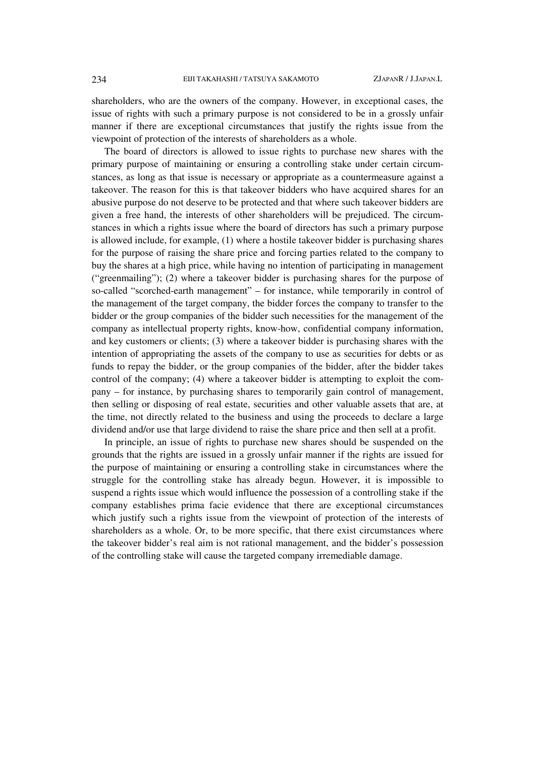shareholders, who are the owners of the company. However, in exceptional cases, the issue of rights with such a primary purpose is not considered to be in a grossly unfair manner if there are exceptional circumstances that justify the rights issue from the viewpoint of protection of the interests of shareholders as a whole.

The board of directors is allowed to issue rights to purchase new shares with the primary purpose of maintaining or ensuring a controlling stake under certain circumstances, as long as that issue is necessary or appropriate as a countermeasure against a takeover. The reason for this is that takeover bidders who have acquired shares for an abusive purpose do not deserve to be protected and that where such takeover bidders are given a free hand, the interests of other shareholders will be prejudiced. The circumstances in which a rights issue where the board of directors has such a primary purpose is allowed include, for example, (1) where a hostile takeover bidder is purchasing shares for the purpose of raising the share price and forcing parties related to the company to buy the shares at a high price, while having no intention of participating in management ("greenmailing"); (2) where a takeover bidder is purchasing shares for the purpose of so-called "scorched-earth management" – for instance, while temporarily in control of the management of the target company, the bidder forces the company to transfer to the bidder or the group companies of the bidder such necessities for the management of the company as intellectual property rights, know-how, confidential company information, and key customers or clients; (3) where a takeover bidder is purchasing shares with the intention of appropriating the assets of the company to use as securities for debts or as funds to repay the bidder, or the group companies of the bidder, after the bidder takes control of the company; (4) where a takeover bidder is attempting to exploit the company – for instance, by purchasing shares to temporarily gain control of management, then selling or disposing of real estate, securities and other valuable assets that are, at the time, not directly related to the business and using the proceeds to declare a large dividend and/or use that large dividend to raise the share price and then sell at a profit.

In principle, an issue of rights to purchase new shares should be suspended on the grounds that the rights are issued in a grossly unfair manner if the rights are issued for the purpose of maintaining or ensuring a controlling stake in circumstances where the struggle for the controlling stake has already begun. However, it is impossible to suspend a rights issue which would influence the possession of a controlling stake if the company establishes prima facie evidence that there are exceptional circumstances which justify such a rights issue from the viewpoint of protection of the interests of shareholders as a whole. Or, to be more specific, that there exist circumstances where the takeover bidder's real aim is not rational management, and the bidder's possession of the controlling stake will cause the targeted company irremediable damage.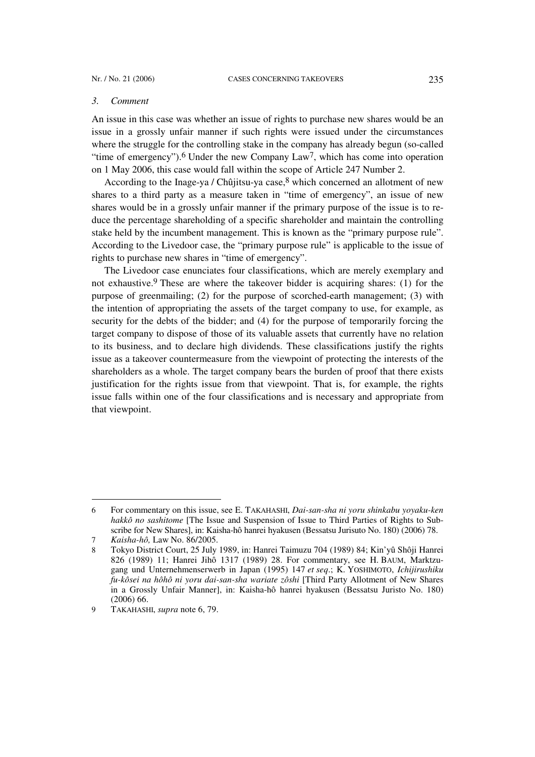#### *3. Comment*

An issue in this case was whether an issue of rights to purchase new shares would be an issue in a grossly unfair manner if such rights were issued under the circumstances where the struggle for the controlling stake in the company has already begun (so-called "time of emergency").<sup>6</sup> Under the new Company Law<sup>7</sup>, which has come into operation on 1 May 2006, this case would fall within the scope of Article 247 Number 2.

According to the Inage-ya / Chûjitsu-ya case,  $8$  which concerned an allotment of new shares to a third party as a measure taken in "time of emergency", an issue of new shares would be in a grossly unfair manner if the primary purpose of the issue is to reduce the percentage shareholding of a specific shareholder and maintain the controlling stake held by the incumbent management. This is known as the "primary purpose rule". According to the Livedoor case, the "primary purpose rule" is applicable to the issue of rights to purchase new shares in "time of emergency".

The Livedoor case enunciates four classifications, which are merely exemplary and not exhaustive.<sup>9</sup> These are where the takeover bidder is acquiring shares: (1) for the purpose of greenmailing; (2) for the purpose of scorched-earth management; (3) with the intention of appropriating the assets of the target company to use, for example, as security for the debts of the bidder; and (4) for the purpose of temporarily forcing the target company to dispose of those of its valuable assets that currently have no relation to its business, and to declare high dividends. These classifications justify the rights issue as a takeover countermeasure from the viewpoint of protecting the interests of the shareholders as a whole. The target company bears the burden of proof that there exists justification for the rights issue from that viewpoint. That is, for example, the rights issue falls within one of the four classifications and is necessary and appropriate from that viewpoint.

 $\overline{a}$ 

<sup>6</sup> For commentary on this issue, see E. TAKAHASHI, *Dai-san-sha ni yoru shinkabu yoyaku-ken hakkô no sashitome* [The Issue and Suspension of Issue to Third Parties of Rights to Subscribe for New Shares], in: Kaisha-hô hanrei hyakusen (Bessatsu Jurisuto No. 180) (2006) 78.

<sup>7</sup> *Kaisha-hô,* Law No. 86/2005.

<sup>8</sup> Tokyo District Court, 25 July 1989, in: Hanrei Taimuzu 704 (1989) 84; Kin'yû Shôji Hanrei 826 (1989) 11; Hanrei Jihô 1317 (1989) 28. For commentary, see H. BAUM, Marktzugang und Unternehmenserwerb in Japan (1995) 147 *et seq*.; K. YOSHIMOTO, *Ichijirushiku fu-kôsei na hôhô ni yoru dai-san-sha wariate zôshi* [Third Party Allotment of New Shares in a Grossly Unfair Manner], in: Kaisha-hô hanrei hyakusen (Bessatsu Juristo No. 180) (2006) 66.

<sup>9</sup> TAKAHASHI, *supra* note 6, 79.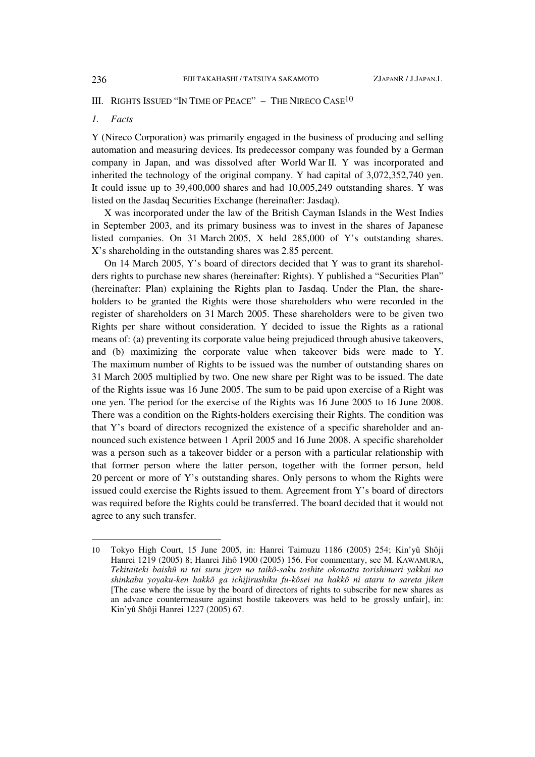## III. RIGHTS ISSUED "IN TIME OF PEACE"  $-$  THE NIRECO CASE<sup>10</sup>

## *1. Facts*

Y (Nireco Corporation) was primarily engaged in the business of producing and selling automation and measuring devices. Its predecessor company was founded by a German company in Japan, and was dissolved after World War II. Y was incorporated and inherited the technology of the original company. Y had capital of 3,072,352,740 yen. It could issue up to 39,400,000 shares and had 10,005,249 outstanding shares. Y was listed on the Jasdaq Securities Exchange (hereinafter: Jasdaq).

X was incorporated under the law of the British Cayman Islands in the West Indies in September 2003, and its primary business was to invest in the shares of Japanese listed companies. On 31 March 2005, X held 285,000 of Y's outstanding shares. X's shareholding in the outstanding shares was 2.85 percent.

On 14 March 2005, Y's board of directors decided that Y was to grant its shareholders rights to purchase new shares (hereinafter: Rights). Y published a "Securities Plan" (hereinafter: Plan) explaining the Rights plan to Jasdaq. Under the Plan, the shareholders to be granted the Rights were those shareholders who were recorded in the register of shareholders on 31 March 2005. These shareholders were to be given two Rights per share without consideration. Y decided to issue the Rights as a rational means of: (a) preventing its corporate value being prejudiced through abusive takeovers, and (b) maximizing the corporate value when takeover bids were made to Y. The maximum number of Rights to be issued was the number of outstanding shares on 31 March 2005 multiplied by two. One new share per Right was to be issued. The date of the Rights issue was 16 June 2005. The sum to be paid upon exercise of a Right was one yen. The period for the exercise of the Rights was 16 June 2005 to 16 June 2008. There was a condition on the Rights-holders exercising their Rights. The condition was that Y's board of directors recognized the existence of a specific shareholder and announced such existence between 1 April 2005 and 16 June 2008. A specific shareholder was a person such as a takeover bidder or a person with a particular relationship with that former person where the latter person, together with the former person, held 20 percent or more of Y's outstanding shares. Only persons to whom the Rights were issued could exercise the Rights issued to them. Agreement from Y's board of directors was required before the Rights could be transferred. The board decided that it would not agree to any such transfer.

l

<sup>10</sup> Tokyo High Court, 15 June 2005, in: Hanrei Taimuzu 1186 (2005) 254; Kin'yû Shôji Hanrei 1219 (2005) 8; Hanrei Jihô 1900 (2005) 156. For commentary, see M. KAWAMURA, *Tekitaiteki baishû ni tai suru jizen no taikô-saku toshite okonatta torishimari yakkai no shinkabu yoyaku-ken hakkô ga ichijirushiku fu-kôsei na hakkô ni ataru to sareta jiken* [The case where the issue by the board of directors of rights to subscribe for new shares as an advance countermeasure against hostile takeovers was held to be grossly unfair], in: Kin'yû Shôji Hanrei 1227 (2005) 67.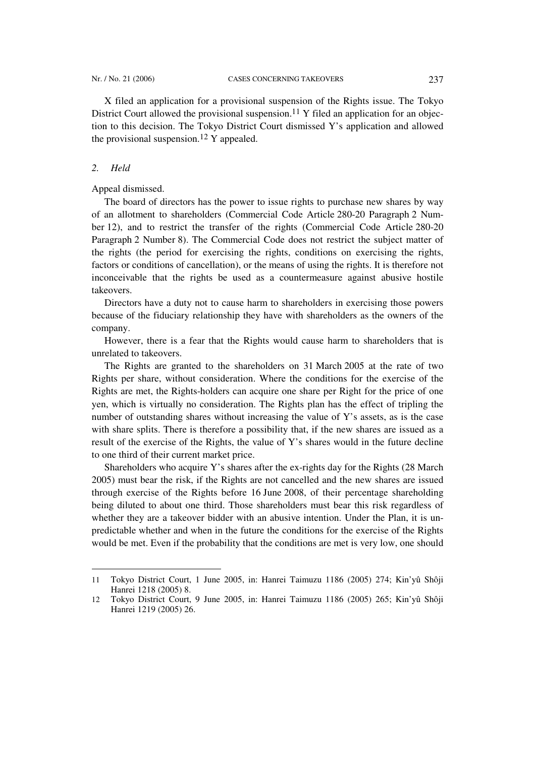X filed an application for a provisional suspension of the Rights issue. The Tokyo District Court allowed the provisional suspension.<sup>11</sup> Y filed an application for an objection to this decision. The Tokyo District Court dismissed Y's application and allowed the provisional suspension.<sup>12</sup> Y appealed.

### *2. Held*

 $\overline{a}$ 

#### Appeal dismissed.

The board of directors has the power to issue rights to purchase new shares by way of an allotment to shareholders (Commercial Code Article 280-20 Paragraph 2 Number 12), and to restrict the transfer of the rights (Commercial Code Article 280-20 Paragraph 2 Number 8). The Commercial Code does not restrict the subject matter of the rights (the period for exercising the rights, conditions on exercising the rights, factors or conditions of cancellation), or the means of using the rights. It is therefore not inconceivable that the rights be used as a countermeasure against abusive hostile takeovers.

Directors have a duty not to cause harm to shareholders in exercising those powers because of the fiduciary relationship they have with shareholders as the owners of the company.

However, there is a fear that the Rights would cause harm to shareholders that is unrelated to takeovers.

The Rights are granted to the shareholders on 31 March 2005 at the rate of two Rights per share, without consideration. Where the conditions for the exercise of the Rights are met, the Rights-holders can acquire one share per Right for the price of one yen, which is virtually no consideration. The Rights plan has the effect of tripling the number of outstanding shares without increasing the value of Y's assets, as is the case with share splits. There is therefore a possibility that, if the new shares are issued as a result of the exercise of the Rights, the value of Y's shares would in the future decline to one third of their current market price.

Shareholders who acquire Y's shares after the ex-rights day for the Rights (28 March 2005) must bear the risk, if the Rights are not cancelled and the new shares are issued through exercise of the Rights before 16 June 2008, of their percentage shareholding being diluted to about one third. Those shareholders must bear this risk regardless of whether they are a takeover bidder with an abusive intention. Under the Plan, it is unpredictable whether and when in the future the conditions for the exercise of the Rights would be met. Even if the probability that the conditions are met is very low, one should

<sup>11</sup> Tokyo District Court, 1 June 2005, in: Hanrei Taimuzu 1186 (2005) 274; Kin'yû Shôji Hanrei 1218 (2005) 8.

<sup>12</sup> Tokyo District Court, 9 June 2005, in: Hanrei Taimuzu 1186 (2005) 265; Kin'yû Shôji Hanrei 1219 (2005) 26.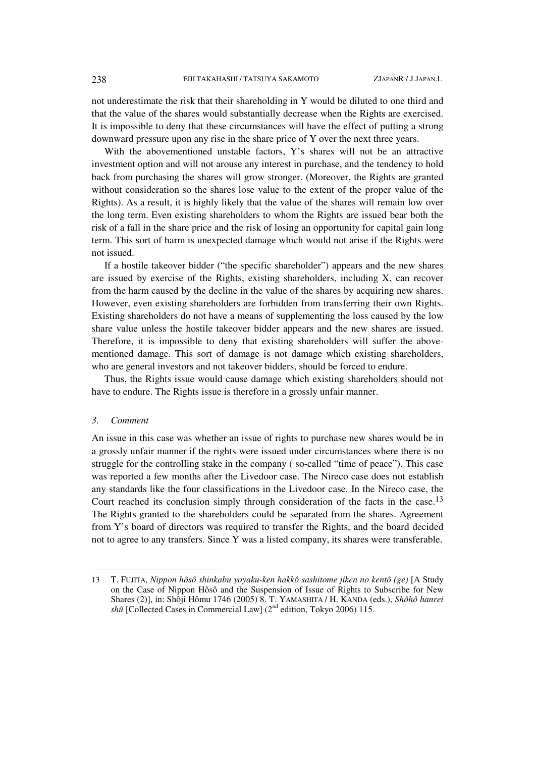not underestimate the risk that their shareholding in Y would be diluted to one third and that the value of the shares would substantially decrease when the Rights are exercised. It is impossible to deny that these circumstances will have the effect of putting a strong downward pressure upon any rise in the share price of Y over the next three years.

With the abovementioned unstable factors, Y's shares will not be an attractive investment option and will not arouse any interest in purchase, and the tendency to hold back from purchasing the shares will grow stronger. (Moreover, the Rights are granted without consideration so the shares lose value to the extent of the proper value of the Rights). As a result, it is highly likely that the value of the shares will remain low over the long term. Even existing shareholders to whom the Rights are issued bear both the risk of a fall in the share price and the risk of losing an opportunity for capital gain long term. This sort of harm is unexpected damage which would not arise if the Rights were not issued.

If a hostile takeover bidder ("the specific shareholder") appears and the new shares are issued by exercise of the Rights, existing shareholders, including X, can recover from the harm caused by the decline in the value of the shares by acquiring new shares. However, even existing shareholders are forbidden from transferring their own Rights. Existing shareholders do not have a means of supplementing the loss caused by the low share value unless the hostile takeover bidder appears and the new shares are issued. Therefore, it is impossible to deny that existing shareholders will suffer the abovementioned damage. This sort of damage is not damage which existing shareholders, who are general investors and not takeover bidders, should be forced to endure.

Thus, the Rights issue would cause damage which existing shareholders should not have to endure. The Rights issue is therefore in a grossly unfair manner.

### *3. Comment*

 $\overline{a}$ 

An issue in this case was whether an issue of rights to purchase new shares would be in a grossly unfair manner if the rights were issued under circumstances where there is no struggle for the controlling stake in the company ( so-called "time of peace"). This case was reported a few months after the Livedoor case. The Nireco case does not establish any standards like the four classifications in the Livedoor case. In the Nireco case, the Court reached its conclusion simply through consideration of the facts in the case.<sup>13</sup> The Rights granted to the shareholders could be separated from the shares. Agreement from Y's board of directors was required to transfer the Rights, and the board decided not to agree to any transfers. Since Y was a listed company, its shares were transferable.

<sup>13</sup> T. FUJITA, *Nippon hôsô shinkabu yoyaku-ken hakkô sashitome jiken no kentô (ge)* [A Study on the Case of Nippon Hôsô and the Suspension of Issue of Rights to Subscribe for New Shares (2)], in: Shôji Hômu 1746 (2005) 8. T. YAMASHITA / H. KANDA (eds.), *Shôhô hanrei shû* [Collected Cases in Commercial Law] (2<sup>nd</sup> edition, Tokyo 2006) 115.